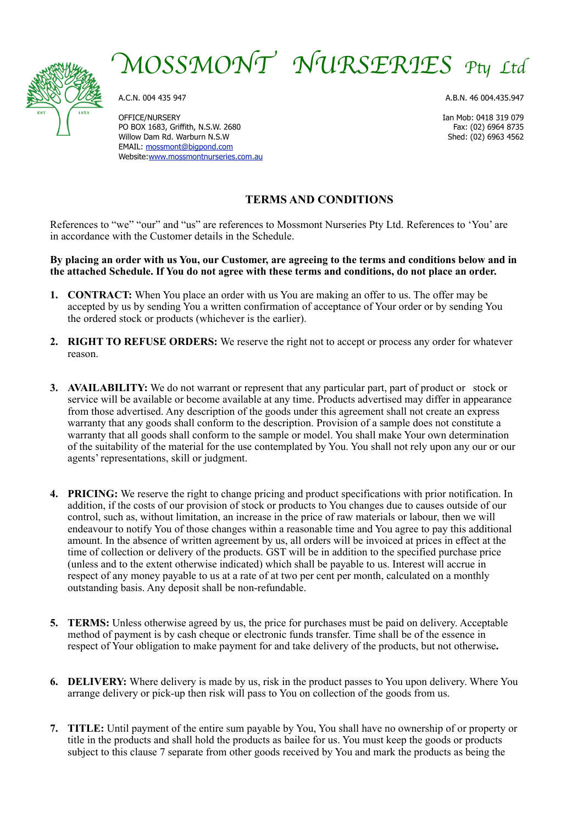



A.C.N. 004 435 947

OFFICE/NURSERY PO BOX 1683, Griffith, N.S.W. 2680 Willow Dam Rd. Warburn N.S.W EMAIL: [mossmont@bigpond.com](mailto:mossmont@bigpond.com) Website[:www.mossmontnurseries.com.au](http://www.mossmontnurseries.com.au) A.B.N. 46 004.435.947

Ian Mob: 0418 319 079 Fax: (02) 6964 8735 Shed: (02) 6963 4562

### **TERMS AND CONDITIONS**

References to "we" "our" and "us" are references to Mossmont Nurseries Pty Ltd. References to 'You' are in accordance with the Customer details in the Schedule.

#### **By placing an order with us You, our Customer, are agreeing to the terms and conditions below and in the attached Schedule. If You do not agree with these terms and conditions, do not place an order.**

- **1. CONTRACT:** When You place an order with us You are making an offer to us. The offer may be accepted by us by sending You a written confirmation of acceptance of Your order or by sending You the ordered stock or products (whichever is the earlier).
- **2. RIGHT TO REFUSE ORDERS:** We reserve the right not to accept or process any order for whatever reason.
- **3. AVAILABILITY:** We do not warrant or represent that any particular part, part of product or stock or service will be available or become available at any time. Products advertised may differ in appearance from those advertised. Any description of the goods under this agreement shall not create an express warranty that any goods shall conform to the description. Provision of a sample does not constitute a warranty that all goods shall conform to the sample or model. You shall make Your own determination of the suitability of the material for the use contemplated by You. You shall not rely upon any our or our agents' representations, skill or judgment.
- **4. PRICING:** We reserve the right to change pricing and product specifications with prior notification. In addition, if the costs of our provision of stock or products to You changes due to causes outside of our control, such as, without limitation, an increase in the price of raw materials or labour, then we will endeavour to notify You of those changes within a reasonable time and You agree to pay this additional amount. In the absence of written agreement by us, all orders will be invoiced at prices in effect at the time of collection or delivery of the products. GST will be in addition to the specified purchase price (unless and to the extent otherwise indicated) which shall be payable to us. Interest will accrue in respect of any money payable to us at a rate of at two per cent per month, calculated on a monthly outstanding basis. Any deposit shall be non-refundable.
- **5. TERMS:** Unless otherwise agreed by us, the price for purchases must be paid on delivery. Acceptable method of payment is by cash cheque or electronic funds transfer. Time shall be of the essence in respect of Your obligation to make payment for and take delivery of the products, but not otherwise**.**
- **6. DELIVERY:** Where delivery is made by us, risk in the product passes to You upon delivery. Where You arrange delivery or pick-up then risk will pass to You on collection of the goods from us.
- **7. TITLE:** Until payment of the entire sum payable by You, You shall have no ownership of or property or title in the products and shall hold the products as bailee for us. You must keep the goods or products subject to this clause 7 separate from other goods received by You and mark the products as being the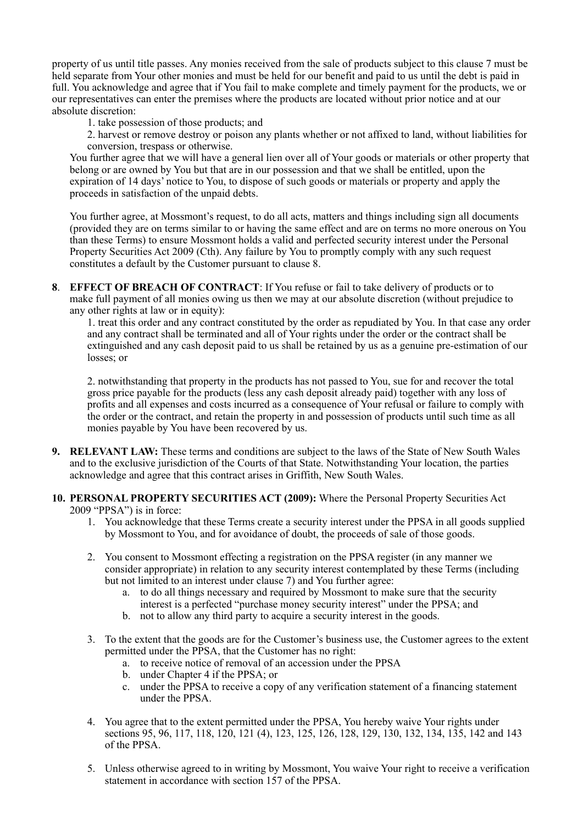property of us until title passes. Any monies received from the sale of products subject to this clause 7 must be held separate from Your other monies and must be held for our benefit and paid to us until the debt is paid in full. You acknowledge and agree that if You fail to make complete and timely payment for the products, we or our representatives can enter the premises where the products are located without prior notice and at our absolute discretion:

1. take possession of those products; and

2. harvest or remove destroy or poison any plants whether or not affixed to land, without liabilities for conversion, trespass or otherwise.

You further agree that we will have a general lien over all of Your goods or materials or other property that belong or are owned by You but that are in our possession and that we shall be entitled, upon the expiration of 14 days' notice to You, to dispose of such goods or materials or property and apply the proceeds in satisfaction of the unpaid debts.

You further agree, at Mossmont's request, to do all acts, matters and things including sign all documents (provided they are on terms similar to or having the same effect and are on terms no more onerous on You than these Terms) to ensure Mossmont holds a valid and perfected security interest under the Personal Property Securities Act 2009 (Cth). Any failure by You to promptly comply with any such request constitutes a default by the Customer pursuant to clause 8.

**8**. **EFFECT OF BREACH OF CONTRACT**: If You refuse or fail to take delivery of products or to make full payment of all monies owing us then we may at our absolute discretion (without prejudice to any other rights at law or in equity):

1. treat this order and any contract constituted by the order as repudiated by You. In that case any order and any contract shall be terminated and all of Your rights under the order or the contract shall be extinguished and any cash deposit paid to us shall be retained by us as a genuine pre-estimation of our losses; or

2. notwithstanding that property in the products has not passed to You, sue for and recover the total gross price payable for the products (less any cash deposit already paid) together with any loss of profits and all expenses and costs incurred as a consequence of Your refusal or failure to comply with the order or the contract, and retain the property in and possession of products until such time as all monies payable by You have been recovered by us.

- **9. RELEVANT LAW:** These terms and conditions are subject to the laws of the State of New South Wales and to the exclusive jurisdiction of the Courts of that State. Notwithstanding Your location, the parties acknowledge and agree that this contract arises in Griffith, New South Wales.
- **10. PERSONAL PROPERTY SECURITIES ACT (2009):** Where the Personal Property Securities Act 2009 "PPSA") is in force:
	- 1. You acknowledge that these Terms create a security interest under the PPSA in all goods supplied by Mossmont to You, and for avoidance of doubt, the proceeds of sale of those goods.
	- 2. You consent to Mossmont effecting a registration on the PPSA register (in any manner we consider appropriate) in relation to any security interest contemplated by these Terms (including but not limited to an interest under clause 7) and You further agree:
		- a. to do all things necessary and required by Mossmont to make sure that the security interest is a perfected "purchase money security interest" under the PPSA; and
		- b. not to allow any third party to acquire a security interest in the goods.
	- 3. To the extent that the goods are for the Customer's business use, the Customer agrees to the extent permitted under the PPSA, that the Customer has no right:
		- a. to receive notice of removal of an accession under the PPSA
		- b. under Chapter 4 if the PPSA; or
		- c. under the PPSA to receive a copy of any verification statement of a financing statement under the PPSA.
	- 4. You agree that to the extent permitted under the PPSA, You hereby waive Your rights under sections 95, 96, 117, 118, 120, 121 (4), 123, 125, 126, 128, 129, 130, 132, 134, 135, 142 and 143 of the PPSA.
	- 5. Unless otherwise agreed to in writing by Mossmont, You waive Your right to receive a verification statement in accordance with section 157 of the PPSA.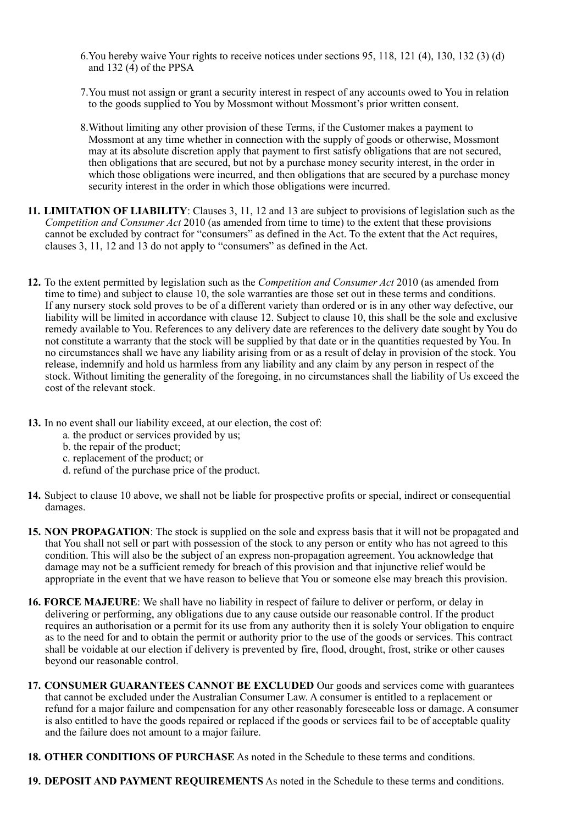- 6.You hereby waive Your rights to receive notices under sections 95, 118, 121 (4), 130, 132 (3) (d) and 132 (4) of the PPSA
- 7.You must not assign or grant a security interest in respect of any accounts owed to You in relation to the goods supplied to You by Mossmont without Mossmont's prior written consent.
- 8.Without limiting any other provision of these Terms, if the Customer makes a payment to Mossmont at any time whether in connection with the supply of goods or otherwise, Mossmont may at its absolute discretion apply that payment to first satisfy obligations that are not secured, then obligations that are secured, but not by a purchase money security interest, in the order in which those obligations were incurred, and then obligations that are secured by a purchase money security interest in the order in which those obligations were incurred.
- **11. LIMITATION OF LIABILITY**: Clauses 3, 11, 12 and 13 are subject to provisions of legislation such as the *Competition and Consumer Act* 2010 (as amended from time to time) to the extent that these provisions cannot be excluded by contract for "consumers" as defined in the Act. To the extent that the Act requires, clauses 3, 11, 12 and 13 do not apply to "consumers" as defined in the Act.
- **12.** To the extent permitted by legislation such as the *Competition and Consumer Act* 2010 (as amended from time to time) and subject to clause 10, the sole warranties are those set out in these terms and conditions. If any nursery stock sold proves to be of a different variety than ordered or is in any other way defective, our liability will be limited in accordance with clause 12. Subject to clause 10, this shall be the sole and exclusive remedy available to You. References to any delivery date are references to the delivery date sought by You do not constitute a warranty that the stock will be supplied by that date or in the quantities requested by You. In no circumstances shall we have any liability arising from or as a result of delay in provision of the stock. You release, indemnify and hold us harmless from any liability and any claim by any person in respect of the stock. Without limiting the generality of the foregoing, in no circumstances shall the liability of Us exceed the cost of the relevant stock.
- **13.** In no event shall our liability exceed, at our election, the cost of:
	- a. the product or services provided by us;
	- b. the repair of the product;
	- c. replacement of the product; or
	- d. refund of the purchase price of the product.
- **14.** Subject to clause 10 above, we shall not be liable for prospective profits or special, indirect or consequential damages.
- **15. NON PROPAGATION**: The stock is supplied on the sole and express basis that it will not be propagated and that You shall not sell or part with possession of the stock to any person or entity who has not agreed to this condition. This will also be the subject of an express non-propagation agreement. You acknowledge that damage may not be a sufficient remedy for breach of this provision and that injunctive relief would be appropriate in the event that we have reason to believe that You or someone else may breach this provision.
- **16. FORCE MAJEURE**: We shall have no liability in respect of failure to deliver or perform, or delay in delivering or performing, any obligations due to any cause outside our reasonable control. If the product requires an authorisation or a permit for its use from any authority then it is solely Your obligation to enquire as to the need for and to obtain the permit or authority prior to the use of the goods or services. This contract shall be voidable at our election if delivery is prevented by fire, flood, drought, frost, strike or other causes beyond our reasonable control.
- **17. CONSUMER GUARANTEES CANNOT BE EXCLUDED** Our goods and services come with guarantees that cannot be excluded under the Australian Consumer Law. A consumer is entitled to a replacement or refund for a major failure and compensation for any other reasonably foreseeable loss or damage. A consumer is also entitled to have the goods repaired or replaced if the goods or services fail to be of acceptable quality and the failure does not amount to a major failure.
- **18. OTHER CONDITIONS OF PURCHASE** As noted in the Schedule to these terms and conditions.
- **19. DEPOSIT AND PAYMENT REQUIREMENTS** As noted in the Schedule to these terms and conditions.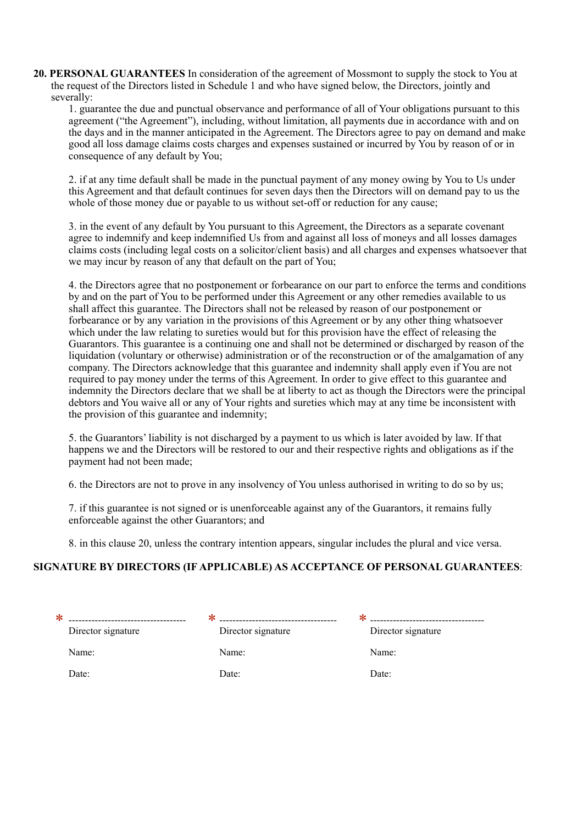**20. PERSONAL GUARANTEES** In consideration of the agreement of Mossmont to supply the stock to You at the request of the Directors listed in Schedule 1 and who have signed below, the Directors, jointly and severally:

1. guarantee the due and punctual observance and performance of all of Your obligations pursuant to this agreement ("the Agreement"), including, without limitation, all payments due in accordance with and on the days and in the manner anticipated in the Agreement. The Directors agree to pay on demand and make good all loss damage claims costs charges and expenses sustained or incurred by You by reason of or in consequence of any default by You;

2. if at any time default shall be made in the punctual payment of any money owing by You to Us under this Agreement and that default continues for seven days then the Directors will on demand pay to us the whole of those money due or payable to us without set-off or reduction for any cause;

3. in the event of any default by You pursuant to this Agreement, the Directors as a separate covenant agree to indemnify and keep indemnified Us from and against all loss of moneys and all losses damages claims costs (including legal costs on a solicitor/client basis) and all charges and expenses whatsoever that we may incur by reason of any that default on the part of You;

4. the Directors agree that no postponement or forbearance on our part to enforce the terms and conditions by and on the part of You to be performed under this Agreement or any other remedies available to us shall affect this guarantee. The Directors shall not be released by reason of our postponement or forbearance or by any variation in the provisions of this Agreement or by any other thing whatsoever which under the law relating to sureties would but for this provision have the effect of releasing the Guarantors. This guarantee is a continuing one and shall not be determined or discharged by reason of the liquidation (voluntary or otherwise) administration or of the reconstruction or of the amalgamation of any company. The Directors acknowledge that this guarantee and indemnity shall apply even if You are not required to pay money under the terms of this Agreement. In order to give effect to this guarantee and indemnity the Directors declare that we shall be at liberty to act as though the Directors were the principal debtors and You waive all or any of Your rights and sureties which may at any time be inconsistent with the provision of this guarantee and indemnity;

5. the Guarantors' liability is not discharged by a payment to us which is later avoided by law. If that happens we and the Directors will be restored to our and their respective rights and obligations as if the payment had not been made;

6. the Directors are not to prove in any insolvency of You unless authorised in writing to do so by us;

7. if this guarantee is not signed or is unenforceable against any of the Guarantors, it remains fully enforceable against the other Guarantors; and

8. in this clause 20, unless the contrary intention appears, singular includes the plural and vice versa.

### **SIGNATURE BY DIRECTORS (IF APPLICABLE) AS ACCEPTANCE OF PERSONAL GUARANTEES**:

| $\ast$             | $\ast$             | ∗                  |
|--------------------|--------------------|--------------------|
| Director signature | Director signature | Director signature |
| Name:              | Name:              | Name:              |
| Date:              | Date:              | Date:              |
|                    |                    |                    |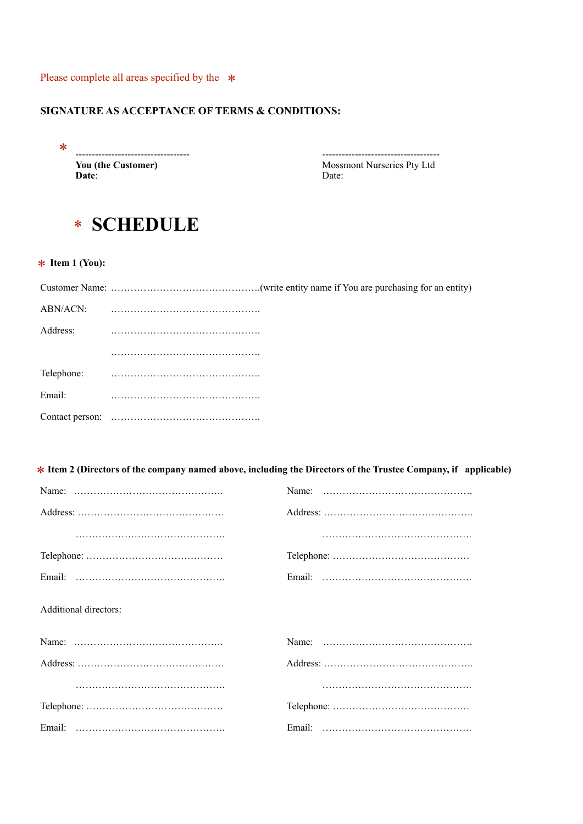Please complete all areas specified by the  $*$ 

### **SIGNATURE AS ACCEPTANCE OF TERMS & CONDITIONS:**

 ----------------------------------- ------------------------------------ **Date**: Date:

**You (the Customer)** Mossmont Nurseries Pty Ltd Date: Date:

# **SCHEDULE** \*

\* Item 1 (You):

\*

| ABN/ACN:   |  |
|------------|--|
| Address:   |  |
|            |  |
| Telephone: |  |
| Email:     |  |
|            |  |

\* Item 2 (Directors of the company named above, including the Directors of the Trustee Company, if applicable)

| Additional directors: |  |
|-----------------------|--|
|                       |  |
|                       |  |
|                       |  |
|                       |  |
|                       |  |